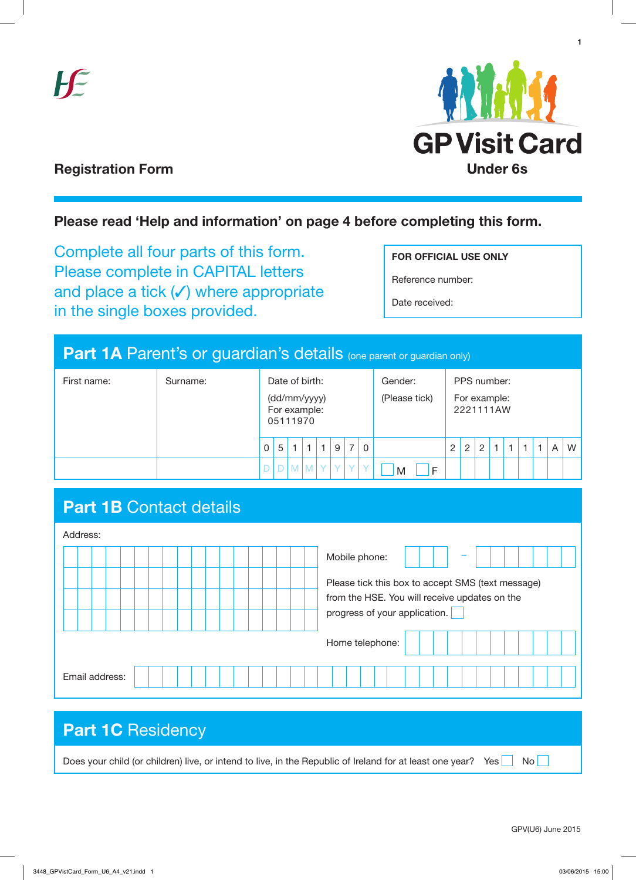



**1**

### **Registration Form**

### **Please read 'Help and information' on page 4 before completing this form.**

Complete all four parts of this form. Please complete in CAPITAL letters and place a tick  $($ ) where appropriate in the single boxes provided.

**FOR OFFICIAL USE ONLY**

Reference number:

Date received:

## **Part 1A Parent's or guardian's details (one parent or guardian only)**

| First name: | Surname: | Date of birth:<br>(dd/mm/yyyy)<br>For example:<br>05111970 |                  |              |              | Gender:<br>(Please tick) | PPS number:<br>For example:<br>2221111AW |                |              |   |   |                |   |  |  |  |  |   |   |
|-------------|----------|------------------------------------------------------------|------------------|--------------|--------------|--------------------------|------------------------------------------|----------------|--------------|---|---|----------------|---|--|--|--|--|---|---|
|             |          |                                                            | $0\vert 5 \vert$ | $\mathbf{1}$ | $\mathbf{1}$ | $\cdot$ 1 $\cdot$        | 9                                        | $\overline{7}$ | 0            |   | 2 | $\overline{2}$ | 2 |  |  |  |  | A | W |
|             |          |                                                            |                  |              | $M$ $M$ $Y$  |                          | Y.                                       | V.             | $\checkmark$ | M |   |                |   |  |  |  |  |   |   |

## **Part 1B Contact details**

| Address:       |                                                                                                                                     |
|----------------|-------------------------------------------------------------------------------------------------------------------------------------|
|                | Mobile phone:                                                                                                                       |
|                | Please tick this box to accept SMS (text message)<br>from the HSE. You will receive updates on the<br>progress of your application. |
|                | Home telephone:                                                                                                                     |
| Email address: |                                                                                                                                     |

### Part 1C Residency

Does your child (or children) live, or intend to live, in the Republic of Ireland for at least one year? Yes No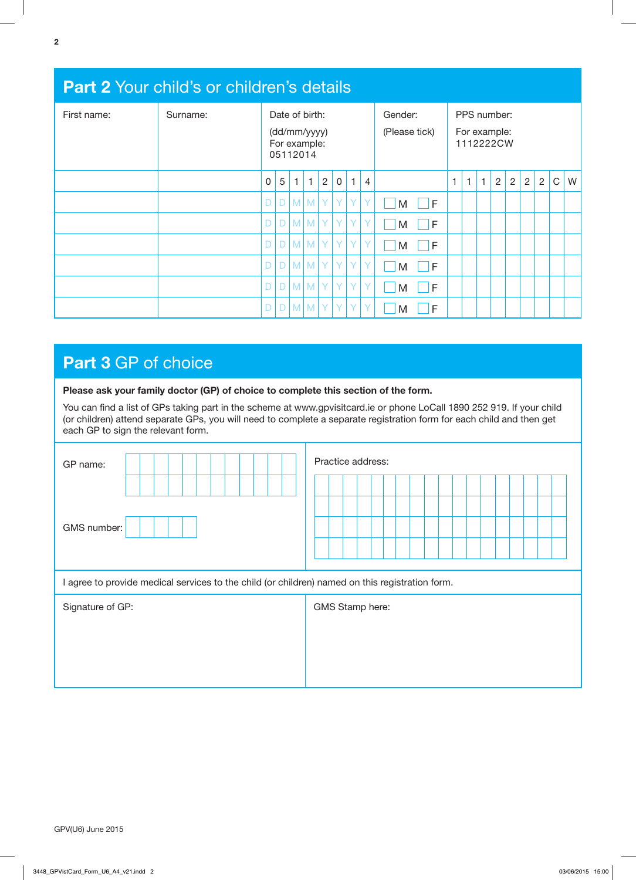| <b>Part 2 Your child's or children's details</b> |          |                                                            |   |   |             |                |                          |              |                                          |        |   |              |              |                |   |   |                |             |   |
|--------------------------------------------------|----------|------------------------------------------------------------|---|---|-------------|----------------|--------------------------|--------------|------------------------------------------|--------|---|--------------|--------------|----------------|---|---|----------------|-------------|---|
| First name:                                      | Surname: | Date of birth:<br>(dd/mm/yyyy)<br>For example:<br>05112014 |   |   |             |                | Gender:<br>(Please tick) |              | PPS number:<br>For example:<br>1112222CW |        |   |              |              |                |   |   |                |             |   |
|                                                  |          | 0                                                          | 5 | 1 | 1           | $\overline{2}$ | $\mathsf 0$              | $\mathbf{1}$ | $\overline{4}$                           |        | 1 | $\mathbf{1}$ | $\mathbf{1}$ | $\overline{2}$ | 2 | 2 | $\overline{2}$ | $\mathsf C$ | W |
|                                                  |          | D                                                          | D |   | $M$ $M$ $Y$ |                | Y                        | Y            | Y                                        | F<br>M |   |              |              |                |   |   |                |             |   |
|                                                  |          | D                                                          | D |   | M M         | Y              | Y                        | Y.           | $\mathsf{Y}$                             | F<br>M |   |              |              |                |   |   |                |             |   |
|                                                  |          |                                                            | D |   | $M$ $M$ $Y$ |                | Y                        | Y            | Y                                        | F<br>M |   |              |              |                |   |   |                |             |   |
|                                                  |          | D                                                          | D |   | $M$ $M$ $Y$ |                | Y.                       | Y            | Y                                        | F<br>M |   |              |              |                |   |   |                |             |   |
|                                                  |          | D                                                          | D |   | $M$ $M$ $Y$ |                | Y.                       | Y            | $\mathsf{Y}$                             | F<br>M |   |              |              |                |   |   |                |             |   |
|                                                  |          |                                                            | D |   | $M$ $M$     | Y              | Y.                       | Y            | l Y                                      | F<br>M |   |              |              |                |   |   |                |             |   |

# **Part 3** GP of choice

|  |  |  | Please ask your family doctor (GP) of choice to complete this section of the form. |
|--|--|--|------------------------------------------------------------------------------------|
|--|--|--|------------------------------------------------------------------------------------|

You can find a list of GPs taking part in the scheme at www.gpvisitcard.ie or phone LoCall 1890 252 919. If your child (or children) attend separate GPs, you will need to complete a separate registration form for each child and then get each GP to sign the relevant form.

| GP name:                                                                                        | Practice address: |  |  |  |  |  |  |  |  |  |  |  |  |
|-------------------------------------------------------------------------------------------------|-------------------|--|--|--|--|--|--|--|--|--|--|--|--|
|                                                                                                 |                   |  |  |  |  |  |  |  |  |  |  |  |  |
| GMS number:                                                                                     |                   |  |  |  |  |  |  |  |  |  |  |  |  |
| I agree to provide medical services to the child (or children) named on this registration form. |                   |  |  |  |  |  |  |  |  |  |  |  |  |
| Signature of GP:                                                                                | GMS Stamp here:   |  |  |  |  |  |  |  |  |  |  |  |  |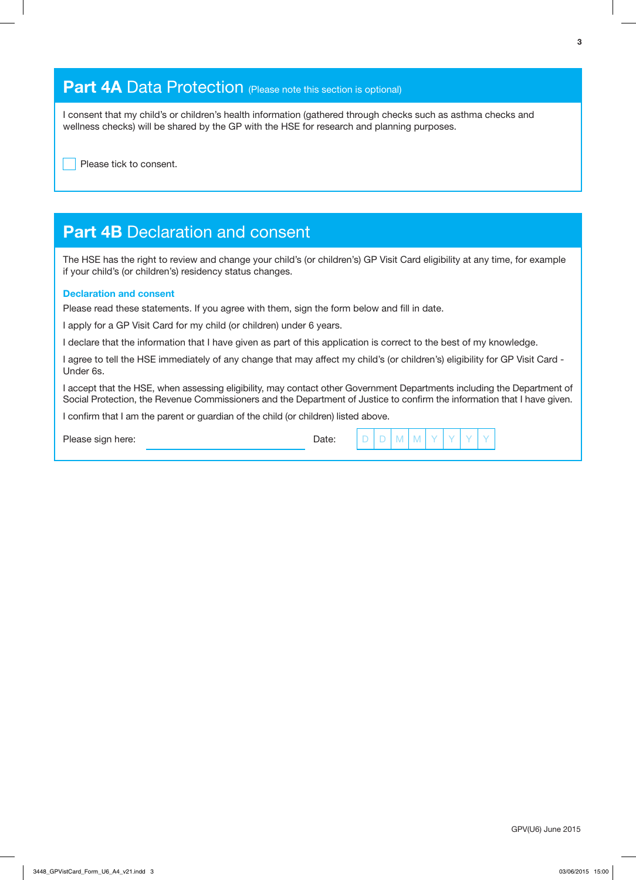### **Part 4A Data Protection** (Please note this section is optional)

I consent that my child's or children's health information (gathered through checks such as asthma checks and wellness checks) will be shared by the GP with the HSE for research and planning purposes.

Please tick to consent.

### **Part 4B Declaration and consent**

The HSE has the right to review and change your child's (or children's) GP Visit Card eligibility at any time, for example if your child's (or children's) residency status changes.

#### **Declaration and consent**

Please read these statements. If you agree with them, sign the form below and fill in date.

I apply for a GP Visit Card for my child (or children) under 6 years.

I declare that the information that I have given as part of this application is correct to the best of my knowledge.

I agree to tell the HSE immediately of any change that may affect my child's (or children's) eligibility for GP Visit Card - Under 6s.

I accept that the HSE, when assessing eligibility, may contact other Government Departments including the Department of Social Protection, the Revenue Commissioners and the Department of Justice to confirm the information that I have given.

I confirm that I am the parent or guardian of the child (or children) listed above.

Please sign here: Date: D D M M M Y Date: D D M M M